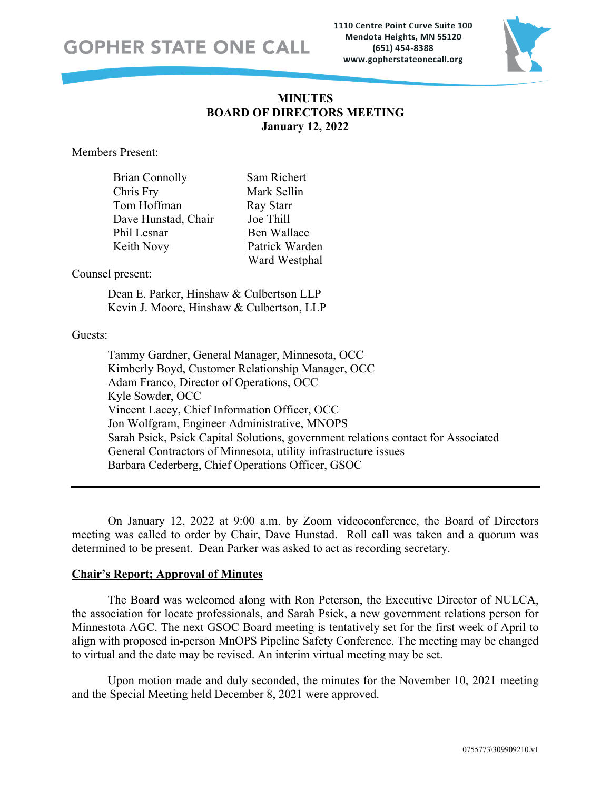# **GOPHER STATE ONE CALL**

1110 Centre Point Curve Suite 100 Mendota Heights, MN 55120 (651) 454-8388 www.gopherstateonecall.org



# **MINUTES BOARD OF DIRECTORS MEETING January 12, 2022**

Members Present:

| Brian Connolly      | Sam  |
|---------------------|------|
| Chris Fry           | Mar  |
| Tom Hoffman         | Ray  |
| Dave Hunstad, Chair | Joe  |
| Phil Lesnar         | Ben  |
| Keith Novy          | Patr |
|                     |      |

n Richert k Sellin<sup>.</sup> **Starr** Thill Wallace rick Warden Ward Westphal

## Counsel present:

Dean E. Parker, Hinshaw & Culbertson LLP Kevin J. Moore, Hinshaw & Culbertson, LLP

#### Guests:

Tammy Gardner, General Manager, Minnesota, OCC Kimberly Boyd, Customer Relationship Manager, OCC Adam Franco, Director of Operations, OCC Kyle Sowder, OCC Vincent Lacey, Chief Information Officer, OCC Jon Wolfgram, Engineer Administrative, MNOPS Sarah Psick, Psick Capital Solutions, government relations contact for Associated General Contractors of Minnesota, utility infrastructure issues Barbara Cederberg, Chief Operations Officer, GSOC

On January 12, 2022 at 9:00 a.m. by Zoom videoconference, the Board of Directors meeting was called to order by Chair, Dave Hunstad. Roll call was taken and a quorum was determined to be present. Dean Parker was asked to act as recording secretary.

## **Chair's Report; Approval of Minutes**

The Board was welcomed along with Ron Peterson, the Executive Director of NULCA, the association for locate professionals, and Sarah Psick, a new government relations person for Minnestota AGC. The next GSOC Board meeting is tentatively set for the first week of April to align with proposed in-person MnOPS Pipeline Safety Conference. The meeting may be changed to virtual and the date may be revised. An interim virtual meeting may be set.

Upon motion made and duly seconded, the minutes for the November 10, 2021 meeting and the Special Meeting held December 8, 2021 were approved.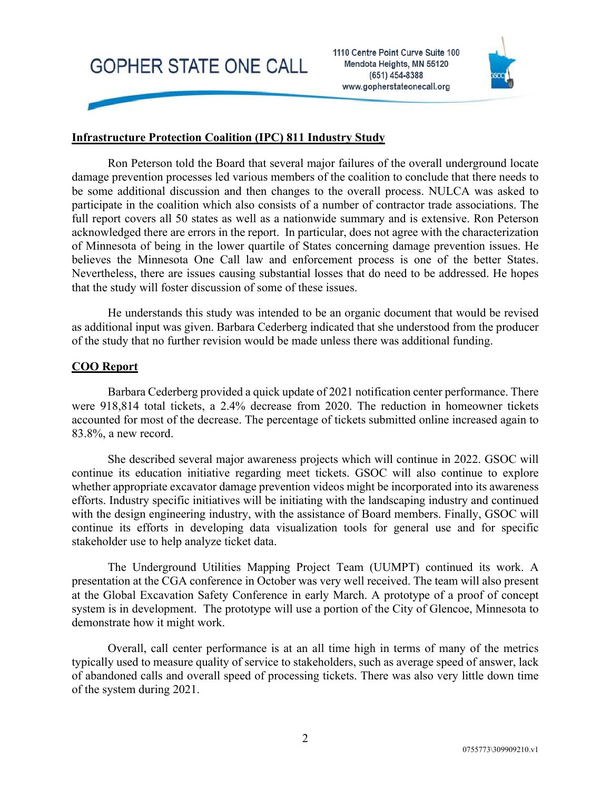



## **Infrastructure Protection Coalition (IPC) 811 Industry Study**

Ron Peterson told the Board that several major failures of the overall underground locate damage prevention processes led various members of the coalition to conclude that there needs to be some additional discussion and then changes to the overall process. NULCA was asked to participate in the coalition which also consists of a number of contractor trade associations. The full report covers all 50 states as well as a nationwide summary and is extensive. Ron Peterson acknowledged there are errors in the report. In particular, does not agree with the characterization of Minnesota of being in the lower quartile of States concerning damage prevention issues. He believes the Minnesota One Call law and enforcement process is one of the better States. Nevertheless, there are issues causing substantial losses that do need to be addressed. He hopes that the study will foster discussion of some of these issues.

He understands this study was intended to be an organic document that would be revised as additional input was given. Barbara Cederberg indicated that she understood from the producer of the study that no further revision would be made unless there was additional funding.

## **COO Report**

Barbara Cederberg provided a quick update of 2021 notification center performance. There were 918,814 total tickets, a 2.4% decrease from 2020. The reduction in homeowner tickets accounted for most of the decrease. The percentage of tickets submitted online increased again to 83.8%, a new record.

She described several major awareness projects which will continue in 2022. GSOC will continue its education initiative regarding meet tickets. GSOC will also continue to explore whether appropriate excavator damage prevention videos might be incorporated into its awareness efforts. Industry specific initiatives will be initiating with the landscaping industry and continued with the design engineering industry, with the assistance of Board members. Finally, GSOC will continue its efforts in developing data visualization tools for general use and for specific stakeholder use to help analyze ticket data.

The Underground Utilities Mapping Project Team (UUMPT) continued its work. A presentation at the CGA conference in October was very well received. The team will also present at the Global Excavation Safety Conference in early March. A prototype of a proof of concept system is in development. The prototype will use a portion of the City of Glencoe, Minnesota to demonstrate how it might work.

Overall, call center performance is at an all time high in terms of many of the metrics typically used to measure quality of service to stakeholders, such as average speed of answer, lack of abandoned calls and overall speed of processing tickets. There was also very little down time of the system during 2021.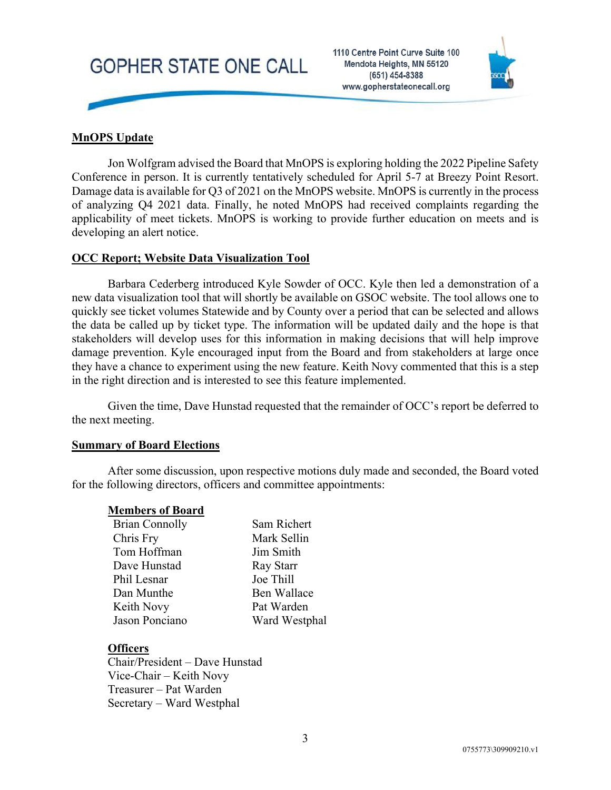# **GOPHER STATE ONE CALL**

1110 Centre Point Curve Suite 100 Mendota Heights, MN 55120 (651) 454-8388 www.gopherstateonecall.org



# **MnOPS Update**

Jon Wolfgram advised the Board that MnOPS is exploring holding the 2022 Pipeline Safety Conference in person. It is currently tentatively scheduled for April 5-7 at Breezy Point Resort. Damage data is available for Q3 of 2021 on the MnOPS website. MnOPS is currently in the process of analyzing Q4 2021 data. Finally, he noted MnOPS had received complaints regarding the applicability of meet tickets. MnOPS is working to provide further education on meets and is developing an alert notice.

#### **OCC Report; Website Data Visualization Tool**

Barbara Cederberg introduced Kyle Sowder of OCC. Kyle then led a demonstration of a new data visualization tool that will shortly be available on GSOC website. The tool allows one to quickly see ticket volumes Statewide and by County over a period that can be selected and allows the data be called up by ticket type. The information will be updated daily and the hope is that stakeholders will develop uses for this information in making decisions that will help improve damage prevention. Kyle encouraged input from the Board and from stakeholders at large once they have a chance to experiment using the new feature. Keith Novy commented that this is a step in the right direction and is interested to see this feature implemented.

Given the time, Dave Hunstad requested that the remainder of OCC's report be deferred to the next meeting.

#### **Summary of Board Elections**

After some discussion, upon respective motions duly made and seconded, the Board voted for the following directors, officers and committee appointments:

#### **Members of Board**

| <b>Brian Connolly</b> | Sam Richert   |
|-----------------------|---------------|
| Chris Fry             | Mark Sellin   |
| Tom Hoffman           | Jim Smith     |
| Dave Hunstad          | Ray Starr     |
| Phil Lesnar           | Joe Thill     |
| Dan Munthe            | Ben Wallace   |
| Keith Novy            | Pat Warden    |
| Jason Ponciano        | Ward Westphal |

## **Officers**

Chair/President – Dave Hunstad Vice-Chair – Keith Novy Treasurer – Pat Warden Secretary – Ward Westphal